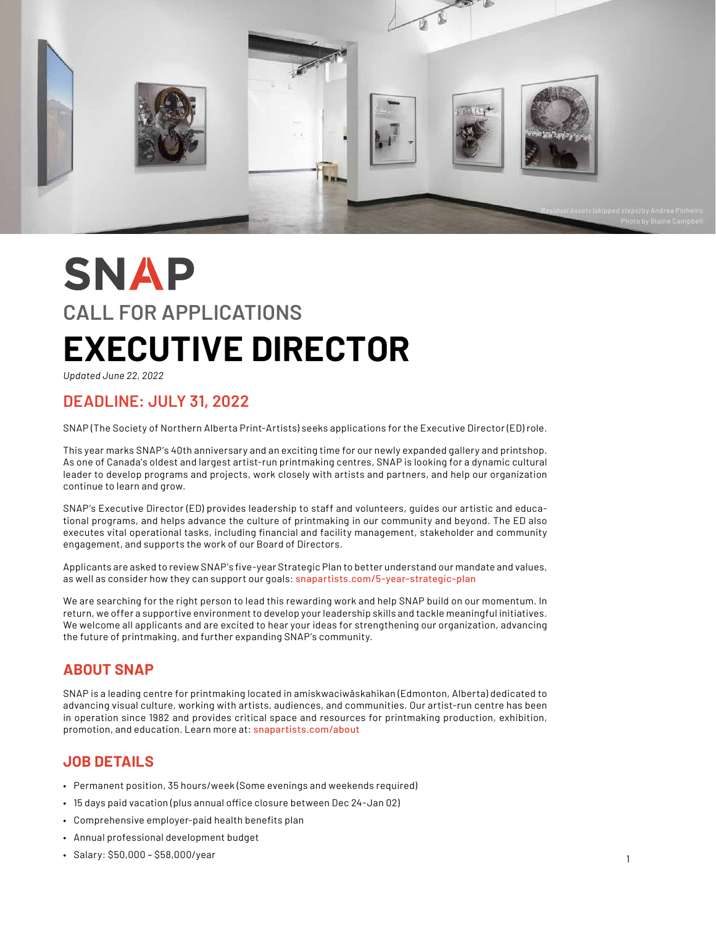

# **SNAP CALL FOR APPLICATIONS EXECUTIVE DIRECTOR**

*Updated June 22, 2022*

## **DEADLINE: JULY 31, 2022**

SNAP (The Society of Northern Alberta Print-Artists) seeks applications for the Executive Director (ED) role.

This year marks SNAP's 40th anniversary and an exciting time for our newly expanded gallery and printshop. As one of Canada's oldest and largest artist-run printmaking centres, SNAP is looking for a dynamic cultural leader to develop programs and projects, work closely with artists and partners, and help our organization continue to learn and grow.

SNAP's Executive Director (ED) provides leadership to staff and volunteers, guides our artistic and educational programs, and helps advance the culture of printmaking in our community and beyond. The ED also executes vital operational tasks, including financial and facility management, stakeholder and community engagement, and supports the work of our Board of Directors.

Applicants are asked to review SNAP's five-year Strategic Plan to better understand our mandate and values, as well as consider how they can support our goals: [snapartists.com/5-year-strategic-plan](http://snapartists.com/5-year-strategic-plan/)

We are searching for the right person to lead this rewarding work and help SNAP build on our momentum. In return, we offer a supportive environment to develop your leadership skills and tackle meaningful initiatives. We welcome all applicants and are excited to hear your ideas for strengthening our organization, advancing the future of printmaking, and further expanding SNAP's community.

## **ABOUT SNAP**

SNAP is a leading centre for printmaking located in amiskwaciwâskahikan (Edmonton, Alberta) dedicated to advancing visual culture, working with artists, audiences, and communities. Our artist-run centre has been in operation since 1982 and provides critical space and resources for printmaking production, exhibition, promotion, and education. Learn more at: [snapartists.com/about](http://snapartists.com/about)

## **JOB DETAILS**

- Permanent position, 35 hours/week (Some evenings and weekends required)
- 15 days paid vacation (plus annual office closure between Dec 24-Jan 02)
- Comprehensive employer-paid health benefits plan
- Annual professional development budget
- Salary: \$50,000 \$58,000/year